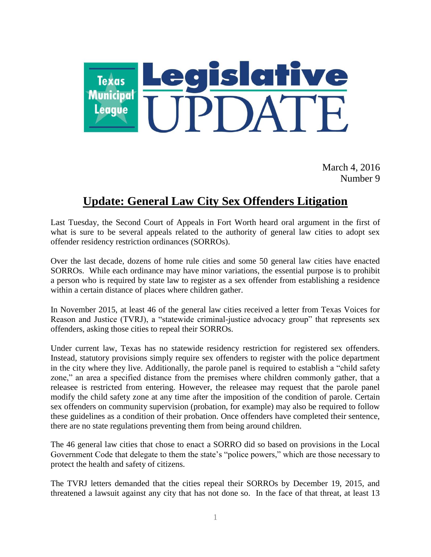

March 4, 2016 Number 9

## **Update: General Law City Sex Offenders Litigation**

Last Tuesday, the Second Court of Appeals in Fort Worth heard oral argument in the first of what is sure to be several appeals related to the authority of general law cities to adopt sex offender residency restriction ordinances (SORROs).

Over the last decade, dozens of home rule cities and some 50 general law cities have enacted SORROs. While each ordinance may have minor variations, the essential purpose is to prohibit a person who is required by state law to register as a sex offender from establishing a residence within a certain distance of places where children gather.

In November 2015, at least 46 of the general law cities received a letter from Texas Voices for Reason and Justice (TVRJ), a "statewide criminal-justice advocacy group" that represents sex offenders, asking those cities to repeal their SORROs.

Under current law, Texas has no statewide residency restriction for registered sex offenders. Instead, statutory provisions simply require sex offenders to register with the police department in the city where they live. Additionally, the parole panel is required to establish a "child safety zone," an area a specified distance from the premises where children commonly gather, that a releasee is restricted from entering. However, the releasee may request that the parole panel modify the child safety zone at any time after the imposition of the condition of parole. Certain sex offenders on community supervision (probation, for example) may also be required to follow these guidelines as a condition of their probation. Once offenders have completed their sentence, there are no state regulations preventing them from being around children.

The 46 general law cities that chose to enact a SORRO did so based on provisions in the Local Government Code that delegate to them the state's "police powers," which are those necessary to protect the health and safety of citizens.

The TVRJ letters demanded that the cities repeal their SORROs by December 19, 2015, and threatened a lawsuit against any city that has not done so. In the face of that threat, at least 13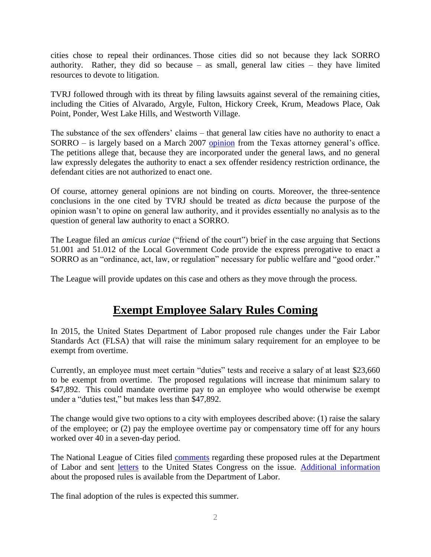cities chose to repeal their ordinances. Those cities did so not because they lack SORRO authority. Rather, they did so because  $-$  as small, general law cities  $-$  they have limited resources to devote to litigation.

TVRJ followed through with its threat by filing lawsuits against several of the remaining cities, including the Cities of Alvarado, Argyle, Fulton, Hickory Creek, Krum, Meadows Place, Oak Point, Ponder, West Lake Hills, and Westworth Village.

The substance of the sex offenders' claims – that general law cities have no authority to enact a SORRO – is largely based on a March 2007 [opinion](https://www.texasattorneygeneral.gov/opinions/opinions/50abbott/op/2007/htm/ga-0526.htm) from the Texas attorney general's office. The petitions allege that, because they are incorporated under the general laws, and no general law expressly delegates the authority to enact a sex offender residency restriction ordinance, the defendant cities are not authorized to enact one.

Of course, attorney general opinions are not binding on courts. Moreover, the three-sentence conclusions in the one cited by TVRJ should be treated as *dicta* because the purpose of the opinion wasn't to opine on general law authority, and it provides essentially no analysis as to the question of general law authority to enact a SORRO.

The League filed an *amicus curiae* ("friend of the court") brief in the case arguing that Sections 51.001 and 51.012 of the Local Government Code provide the express prerogative to enact a SORRO as an "ordinance, act, law, or regulation" necessary for public welfare and "good order."

The League will provide updates on this case and others as they move through the process.

## **Exempt Employee Salary Rules Coming**

In 2015, the United States Department of Labor proposed rule changes under the Fair Labor Standards Act (FLSA) that will raise the minimum salary requirement for an employee to be exempt from overtime.

Currently, an employee must meet certain "duties" tests and receive a salary of at least \$23,660 to be exempt from overtime. The proposed regulations will increase that minimum salary to \$47,892. This could mandate overtime pay to an employee who would otherwise be exempt under a "duties test," but makes less than \$47,892.

The change would give two options to a city with employees described above: (1) raise the salary of the employee; or (2) pay the employee overtime pay or compensatory time off for any hours worked over 40 in a seven-day period.

The National League of Cities filed [comments](http://www.tml.org/p/2015%20NLC%20comments%20Proposed%20FLSA%20regs%209.3.15.pdf) regarding these proposed rules at the Department of Labor and sent [letters](http://www.tml.org/p/Press%20Version%20Public%20Employer%20Letter.pdf) to the United States Congress on the issue. [Additional information](http://www.dol.gov/whd/overtime/NPRM2015/) about the proposed rules is available from the Department of Labor.

The final adoption of the rules is expected this summer.